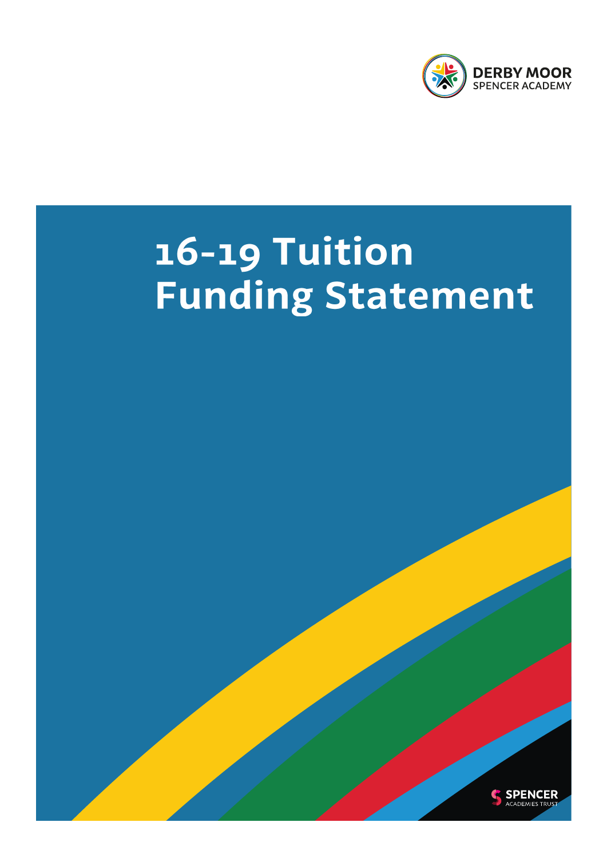

## 16-19 Tuition **Funding Statement**

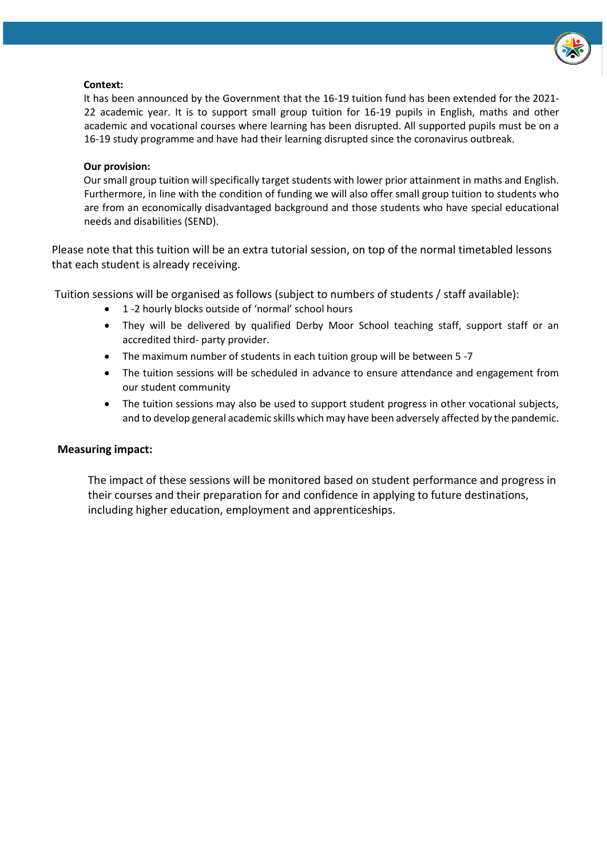

## **Context:**

It has been announced by the Government that the 16-19 tuition fund has been extended for the 2021- 22 academic year. It is to support small group tuition for 16-19 pupils in English, maths and other academic and vocational courses where learning has been disrupted. All supported pupils must be on a 16-19 study programme and have had their learning disrupted since the coronavirus outbreak.

## **Our provision:**

Our small group tuition will specifically target students with lower prior attainment in maths and English. Furthermore, in line with the condition of funding we will also offer small group tuition to students who are from an economically disadvantaged background and those students who have special educational needs and disabilities (SEND).

Please note that this tuition will be an extra tutorial session, on top of the normal timetabled lessons that each student is already receiving.

Tuition sessions will be organised as follows (subject to numbers of students / staff available):

- 1 -2 hourly blocks outside of 'normal' school hours
- They will be delivered by qualified Derby Moor School teaching staff, support staff or an accredited third- party provider.
- The maximum number of students in each tuition group will be between 5 -7
- The tuition sessions will be scheduled in advance to ensure attendance and engagement from our student community
- The tuition sessions may also be used to support student progress in other vocational subjects, and to develop general academic skills which may have been adversely affected by the pandemic.

## **Measuring impact:**

The impact of these sessions will be monitored based on student performance and progress in their courses and their preparation for and confidence in applying to future destinations, including higher education, employment and apprenticeships.